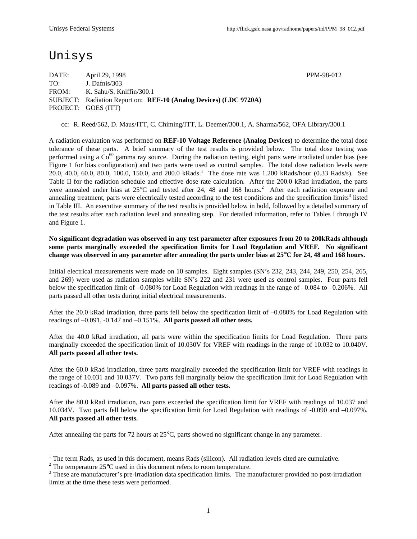# Unisys

DATE: April 29, 1998 PPM-98-012 TO: J. Dafnis/303 FROM: K. Sahu/S. Kniffin/300.1 SUBJECT: Radiation Report on: **REF-10 (Analog Devices) (LDC 9720A)** PROJECT: GOES (ITT)

cc: R. Reed/562, D. Maus/ITT, C. Chiming/ITT, L. Deemer/300.1, A. Sharma/562, OFA Library/300.1

A radiation evaluation was performed on **REF-10 Voltage Reference (Analog Devices)** to determine the total dose tolerance of these parts. A brief summary of the test results is provided below. The total dose testing was performed using a  $Co^{60}$  gamma ray source. During the radiation testing, eight parts were irradiated under bias (see Figure 1 for bias configuration) and two parts were used as control samples. The total dose radiation levels were 20.0, 40.0, 60.0, 80.0, 100.0, 150.0, and 200.0 kRads.<sup>1</sup> The dose rate was 1.200 kRads/hour (0.33 Rads/s). See Table II for the radiation schedule and effective dose rate calculation. After the 200.0 kRad irradiation, the parts were annealed under bias at  $25^{\circ}$ C and tested after 24, 48 and 168 hours.<sup>2</sup> After each radiation exposure and annealing treatment, parts were electrically tested according to the test conditions and the specification limits<sup>3</sup> listed in Table III. An executive summary of the test results is provided below in bold, followed by a detailed summary of the test results after each radiation level and annealing step. For detailed information, refer to Tables I through IV and Figure 1.

**No significant degradation was observed in any test parameter after exposures from 20 to 200kRads although some parts marginally exceeded the specification limits for Load Regulation and VREF. No significant change was observed in any parameter after annealing the parts under bias at 25**°**C for 24, 48 and 168 hours.**

Initial electrical measurements were made on 10 samples. Eight samples (SN's 232, 243, 244, 249, 250, 254, 265, and 269) were used as radiation samples while SN's 222 and 231 were used as control samples. Four parts fell below the specification limit of –0.080% for Load Regulation with readings in the range of –0.084 to –0.206%. All parts passed all other tests during initial electrical measurements.

After the 20.0 kRad irradiation, three parts fell below the specification limit of –0.080% for Load Regulation with readings of –0.091, -0.147 and –0.151%. **All parts passed all other tests.**

After the 40.0 kRad irradiation, all parts were within the specification limits for Load Regulation. Three parts marginally exceeded the specification limit of 10.030V for VREF with readings in the range of 10.032 to 10.040V. **All parts passed all other tests.**

After the 60.0 kRad irradiation, three parts marginally exceeded the specification limit for VREF with readings in the range of 10.031 and 10.037V. Two parts fell marginally below the specification limit for Load Regulation with readings of -0.089 and –0.097%. **All parts passed all other tests.**

After the 80.0 kRad irradiation, two parts exceeded the specification limit for VREF with readings of 10.037 and 10.034V. Two parts fell below the specification limit for Load Regulation with readings of -0.090 and –0.097%. **All parts passed all other tests.**

After annealing the parts for 72 hours at 25°C, parts showed no significant change in any parameter.

<sup>&</sup>lt;sup>1</sup> The term Rads, as used in this document, means Rads (silicon). All radiation levels cited are cumulative.

<sup>&</sup>lt;sup>2</sup> The temperature 25 $\mathrm{^{\circ}C}$  used in this document refers to room temperature.

 $3$  These are manufacturer's pre-irradiation data specification limits. The manufacturer provided no post-irradiation limits at the time these tests were performed.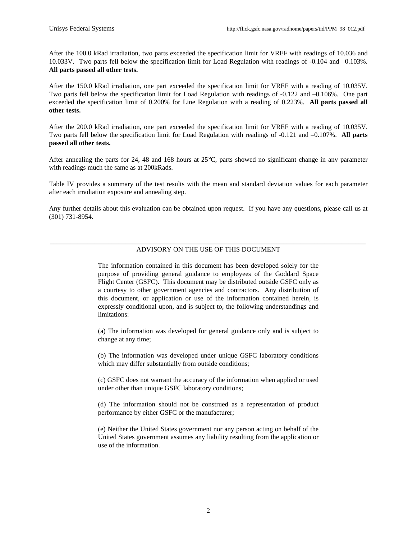After the 100.0 kRad irradiation, two parts exceeded the specification limit for VREF with readings of 10.036 and 10.033V. Two parts fell below the specification limit for Load Regulation with readings of -0.104 and –0.103%. **All parts passed all other tests.**

After the 150.0 kRad irradiation, one part exceeded the specification limit for VREF with a reading of 10.035V. Two parts fell below the specification limit for Load Regulation with readings of -0.122 and –0.106%. One part exceeded the specification limit of 0.200% for Line Regulation with a reading of 0.223%. **All parts passed all other tests.**

After the 200.0 kRad irradiation, one part exceeded the specification limit for VREF with a reading of 10.035V. Two parts fell below the specification limit for Load Regulation with readings of -0.121 and –0.107%. **All parts passed all other tests.**

After annealing the parts for 24, 48 and 168 hours at 25°C, parts showed no significant change in any parameter with readings much the same as at 200kRads.

Table IV provides a summary of the test results with the mean and standard deviation values for each parameter after each irradiation exposure and annealing step.

Any further details about this evaluation can be obtained upon request. If you have any questions, please call us at (301) 731-8954.

#### \_\_\_\_\_\_\_\_\_\_\_\_\_\_\_\_\_\_\_\_\_\_\_\_\_\_\_\_\_\_\_\_\_\_\_\_\_\_\_\_\_\_\_\_\_\_\_\_\_\_\_\_\_\_\_\_\_\_\_\_\_\_\_\_\_\_\_\_\_\_\_\_\_\_\_\_\_\_\_\_\_\_\_\_\_\_\_\_\_\_\_\_ ADVISORY ON THE USE OF THIS DOCUMENT

The information contained in this document has been developed solely for the purpose of providing general guidance to employees of the Goddard Space Flight Center (GSFC). This document may be distributed outside GSFC only as a courtesy to other government agencies and contractors. Any distribution of this document, or application or use of the information contained herein, is expressly conditional upon, and is subject to, the following understandings and limitations:

(a) The information was developed for general guidance only and is subject to change at any time;

(b) The information was developed under unique GSFC laboratory conditions which may differ substantially from outside conditions;

(c) GSFC does not warrant the accuracy of the information when applied or used under other than unique GSFC laboratory conditions;

(d) The information should not be construed as a representation of product performance by either GSFC or the manufacturer;

(e) Neither the United States government nor any person acting on behalf of the United States government assumes any liability resulting from the application or use of the information.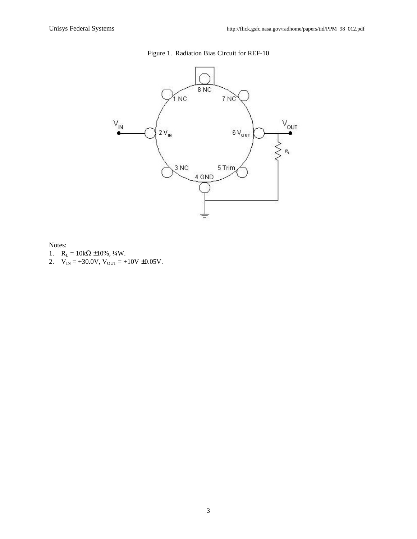### Figure 1. Radiation Bias Circuit for REF-10



Notes:

- 1.  $R_L = 10k\Omega \pm 10\%, \frac{1}{4}W$ .
- 2.  $V_{IN} = +30.0V$ ,  $V_{OUT} = +10V \pm 0.05V$ .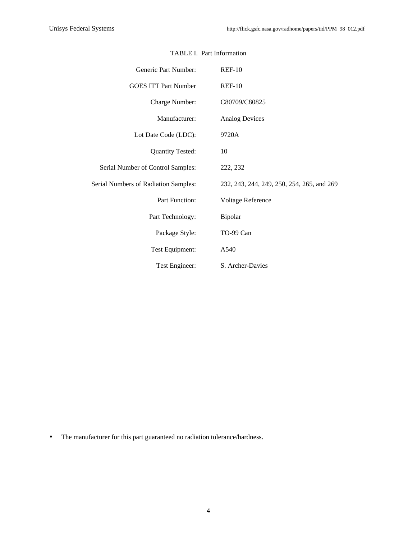| Generic Part Number:                 | $REF-10$                                   |
|--------------------------------------|--------------------------------------------|
| <b>GOES ITT Part Number</b>          | $REF-10$                                   |
| Charge Number:                       | C80709/C80825                              |
| Manufacturer:                        | <b>Analog Devices</b>                      |
| Lot Date Code (LDC):                 | 9720A                                      |
| <b>Quantity Tested:</b>              | 10                                         |
| Serial Number of Control Samples:    | 222, 232                                   |
| Serial Numbers of Radiation Samples: | 232, 243, 244, 249, 250, 254, 265, and 269 |
| Part Function:                       | Voltage Reference                          |
| Part Technology:                     | Bipolar                                    |
| Package Style:                       | TO-99 Can                                  |
| Test Equipment:                      | A540                                       |
| Test Engineer:                       | S. Archer-Davies                           |

#### TABLE I. Part Information

• The manufacturer for this part guaranteed no radiation tolerance/hardness.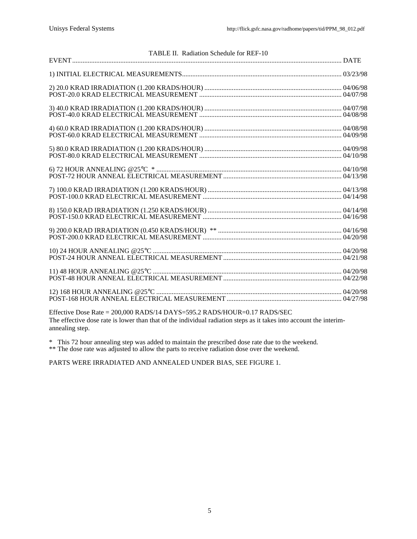| TABLE II. Radiation Schedule for REF-10 |  |
|-----------------------------------------|--|
|                                         |  |
|                                         |  |
|                                         |  |
|                                         |  |
|                                         |  |
|                                         |  |
|                                         |  |
|                                         |  |
|                                         |  |
|                                         |  |
|                                         |  |
|                                         |  |

Effective Dose Rate = 200,000 RADS/14 DAYS=595.2 RADS/HOUR=0.17 RADS/SEC The effective dose rate is lower than that of the individual radiation steps as it takes into account the interimannealing step.

\* This 72 hour annealing step was added to maintain the prescribed dose rate due to the weekend.

\*\* The dose rate was adjusted to allow the parts to receive radiation dose over the weekend.

PARTS WERE IRRADIATED AND ANNEALED UNDER BIAS, SEE FIGURE 1.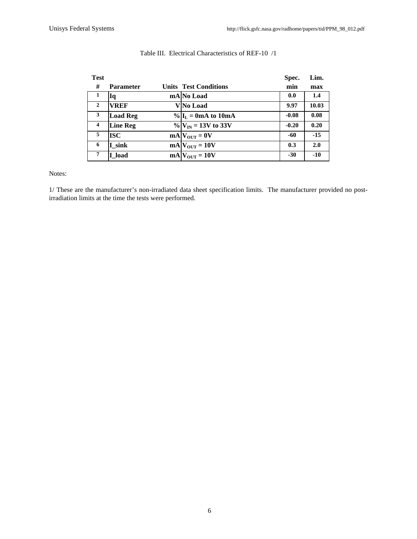| Test             |                  |                                     | Spec.   | Lim.  |
|------------------|------------------|-------------------------------------|---------|-------|
| #                | <b>Parameter</b> | <b>Units Test Conditions</b>        | min     | max   |
| 1                | Iq               | mA No Load                          | 0.0     | 1.4   |
| $\mathbf{2}$     | <b>VREF</b>      | <b>V</b> No Load                    | 9.97    | 10.03 |
| 3                | <b>Load Reg</b>  | $\%$ $\mathbf{I}_L = 0$ mA to 10 mA | $-0.08$ | 0.08  |
| $\boldsymbol{4}$ | <b>Line Reg</b>  | $\%$ $V_{IN}$ = 13V to 33V          | $-0.20$ | 0.20  |
| 5                | ISC              | $mA V_{OUT} = 0V$                   | -60     | $-15$ |
| 6                | I sink           | $mA$ $V_{OUT} = 10V$                | 0.3     | 2.0   |
|                  | I load           | $mA$ <sub>OUT</sub> = 10V           | $-30$   | $-10$ |

#### Table III. Electrical Characteristics of REF-10 /1

Notes:

1/ These are the manufacturer's non-irradiated data sheet specification limits. The manufacturer provided no postirradiation limits at the time the tests were performed.